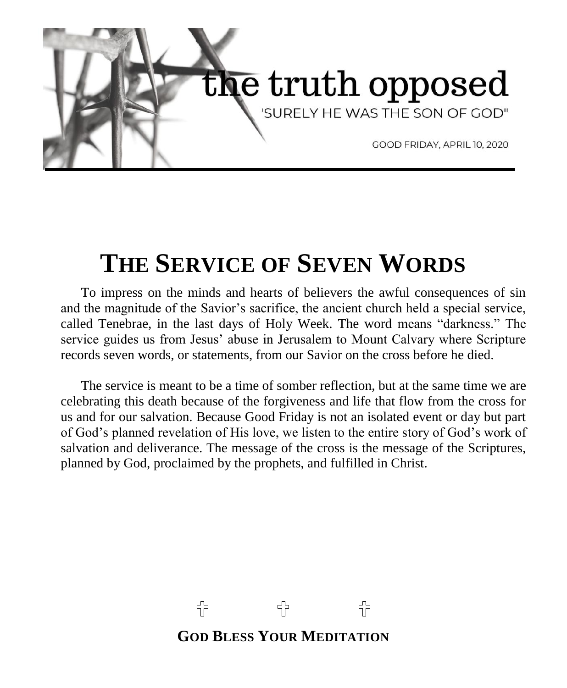

# **THE SERVICE OF SEVEN WORDS**

To impress on the minds and hearts of believers the awful consequences of sin and the magnitude of the Savior's sacrifice, the ancient church held a special service, called Tenebrae, in the last days of Holy Week. The word means "darkness." The service guides us from Jesus' abuse in Jerusalem to Mount Calvary where Scripture records seven words, or statements, from our Savior on the cross before he died.

The service is meant to be a time of somber reflection, but at the same time we are celebrating this death because of the forgiveness and life that flow from the cross for us and for our salvation. Because Good Friday is not an isolated event or day but part of God's planned revelation of His love, we listen to the entire story of God's work of salvation and deliverance. The message of the cross is the message of the Scriptures, planned by God, proclaimed by the prophets, and fulfilled in Christ.

> 유 유 유 **GOD BLESS YOUR MEDITATION**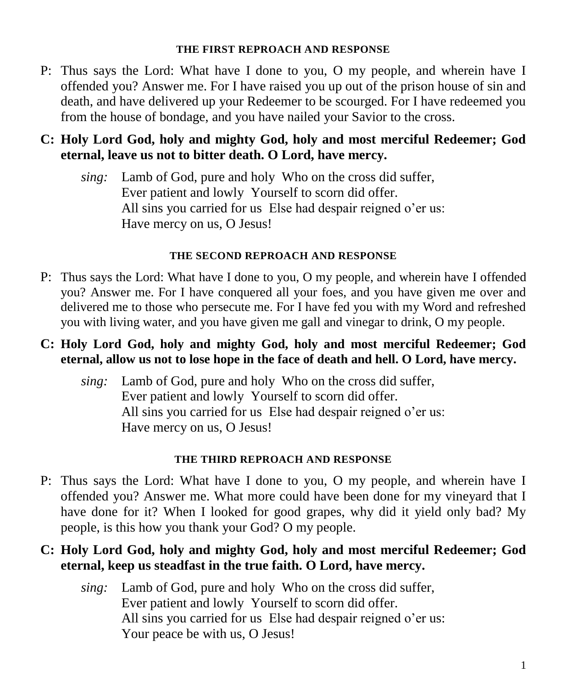#### **THE FIRST REPROACH AND RESPONSE**

P: Thus says the Lord: What have I done to you, O my people, and wherein have I offended you? Answer me. For I have raised you up out of the prison house of sin and death, and have delivered up your Redeemer to be scourged. For I have redeemed you from the house of bondage, and you have nailed your Savior to the cross.

### **C: Holy Lord God, holy and mighty God, holy and most merciful Redeemer; God eternal, leave us not to bitter death. O Lord, have mercy.**

*sing:* Lamb of God, pure and holy Who on the cross did suffer, Ever patient and lowly Yourself to scorn did offer. All sins you carried for us Else had despair reigned o'er us: Have mercy on us, O Jesus!

#### **THE SECOND REPROACH AND RESPONSE**

- P: Thus says the Lord: What have I done to you, O my people, and wherein have I offended you? Answer me. For I have conquered all your foes, and you have given me over and delivered me to those who persecute me. For I have fed you with my Word and refreshed you with living water, and you have given me gall and vinegar to drink, O my people.
- **C: Holy Lord God, holy and mighty God, holy and most merciful Redeemer; God eternal, allow us not to lose hope in the face of death and hell. O Lord, have mercy.**
	- *sing:* Lamb of God, pure and holy Who on the cross did suffer, Ever patient and lowly Yourself to scorn did offer. All sins you carried for us Else had despair reigned o'er us: Have mercy on us, O Jesus!

#### **THE THIRD REPROACH AND RESPONSE**

P: Thus says the Lord: What have I done to you, O my people, and wherein have I offended you? Answer me. What more could have been done for my vineyard that I have done for it? When I looked for good grapes, why did it yield only bad? My people, is this how you thank your God? O my people.

### **C: Holy Lord God, holy and mighty God, holy and most merciful Redeemer; God eternal, keep us steadfast in the true faith. O Lord, have mercy.**

*sing:* Lamb of God, pure and holy Who on the cross did suffer, Ever patient and lowly Yourself to scorn did offer. All sins you carried for us Else had despair reigned o'er us: Your peace be with us, O Jesus!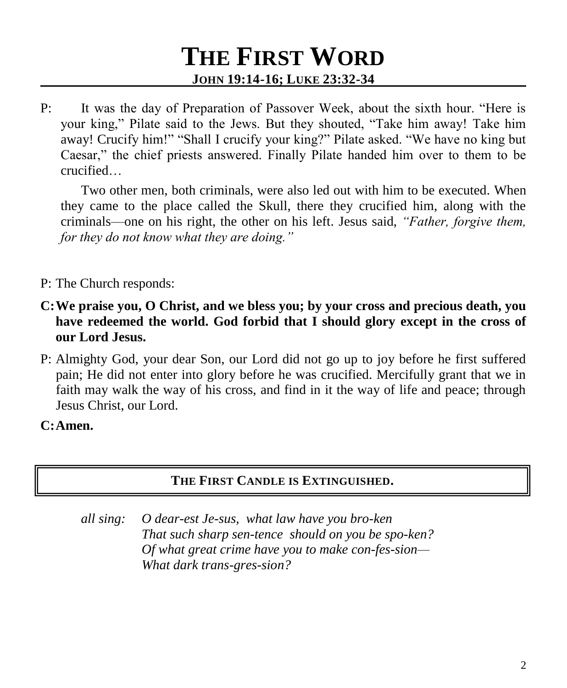# **THE FIRST WORD JOHN 19:14-16; LUKE 23:32-34**

P: It was the day of Preparation of Passover Week, about the sixth hour. "Here is your king," Pilate said to the Jews. But they shouted, "Take him away! Take him away! Crucify him!" "Shall I crucify your king?" Pilate asked. "We have no king but Caesar," the chief priests answered. Finally Pilate handed him over to them to be crucified…

Two other men, both criminals, were also led out with him to be executed. When they came to the place called the Skull, there they crucified him, along with the criminals—one on his right, the other on his left. Jesus said, *"Father, forgive them, for they do not know what they are doing."*

- P: The Church responds:
- **C:We praise you, O Christ, and we bless you; by your cross and precious death, you have redeemed the world. God forbid that I should glory except in the cross of our Lord Jesus.**
- P: Almighty God, your dear Son, our Lord did not go up to joy before he first suffered pain; He did not enter into glory before he was crucified. Mercifully grant that we in faith may walk the way of his cross, and find in it the way of life and peace; through Jesus Christ, our Lord.

**C:Amen.**

### **THE FIRST CANDLE IS EXTINGUISHED.**

*all sing: O dear-est Je-sus, what law have you bro-ken That such sharp sen-tence should on you be spo-ken? Of what great crime have you to make con-fes-sion— What dark trans-gres-sion?*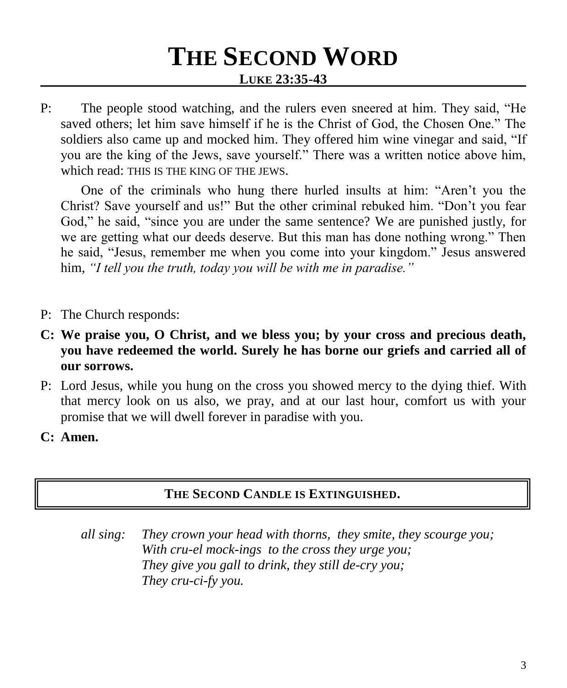# **THE SECOND WORD LUKE 23:35-43**

P: The people stood watching, and the rulers even sneered at him. They said, "He saved others; let him save himself if he is the Christ of God, the Chosen One." The soldiers also came up and mocked him. They offered him wine vinegar and said, "If you are the king of the Jews, save yourself." There was a written notice above him, which read: THIS IS THE KING OF THE JEWS.

One of the criminals who hung there hurled insults at him: "Aren't you the Christ? Save yourself and us!" But the other criminal rebuked him. "Don't you fear God," he said, "since you are under the same sentence? We are punished justly, for we are getting what our deeds deserve. But this man has done nothing wrong." Then he said, "Jesus, remember me when you come into your kingdom." Jesus answered him, *"I tell you the truth, today you will be with me in paradise."*

- P: The Church responds:
- **C: We praise you, O Christ, and we bless you; by your cross and precious death, you have redeemed the world. Surely he has borne our griefs and carried all of our sorrows.**
- P: Lord Jesus, while you hung on the cross you showed mercy to the dying thief. With that mercy look on us also, we pray, and at our last hour, comfort us with your promise that we will dwell forever in paradise with you.
- **C: Amen.**

#### **THE SECOND CANDLE IS EXTINGUISHED.**

*all sing: They crown your head with thorns, they smite, they scourge you; With cru-el mock-ings to the cross they urge you; They give you gall to drink, they still de-cry you; They cru-ci-fy you.*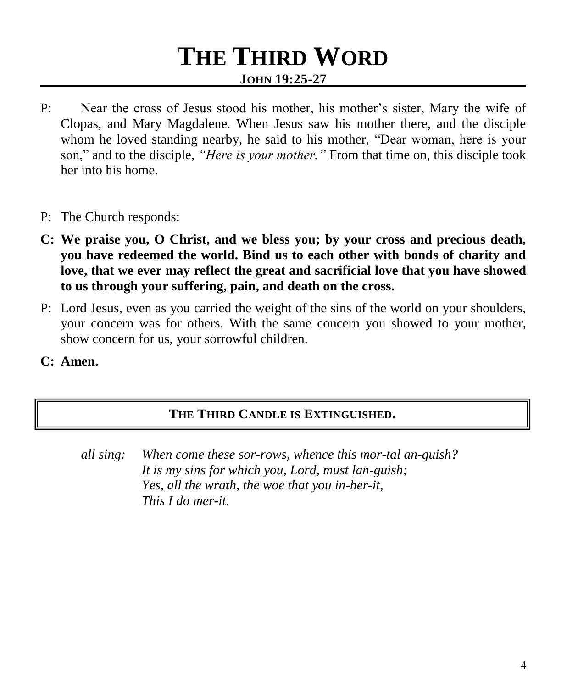### **THE THIRD WORD JOHN 19:25-27**

- P: Near the cross of Jesus stood his mother, his mother's sister, Mary the wife of Clopas, and Mary Magdalene. When Jesus saw his mother there, and the disciple whom he loved standing nearby, he said to his mother, "Dear woman, here is your son," and to the disciple, *"Here is your mother."* From that time on, this disciple took her into his home.
- P: The Church responds:
- **C: We praise you, O Christ, and we bless you; by your cross and precious death, you have redeemed the world. Bind us to each other with bonds of charity and love, that we ever may reflect the great and sacrificial love that you have showed to us through your suffering, pain, and death on the cross.**
- P: Lord Jesus, even as you carried the weight of the sins of the world on your shoulders, your concern was for others. With the same concern you showed to your mother, show concern for us, your sorrowful children.
- **C: Amen.**

#### **THE THIRD CANDLE IS EXTINGUISHED.**

*all sing: When come these sor-rows, whence this mor-tal an-guish? It is my sins for which you, Lord, must lan-guish; Yes, all the wrath, the woe that you in-her-it, This I do mer-it.*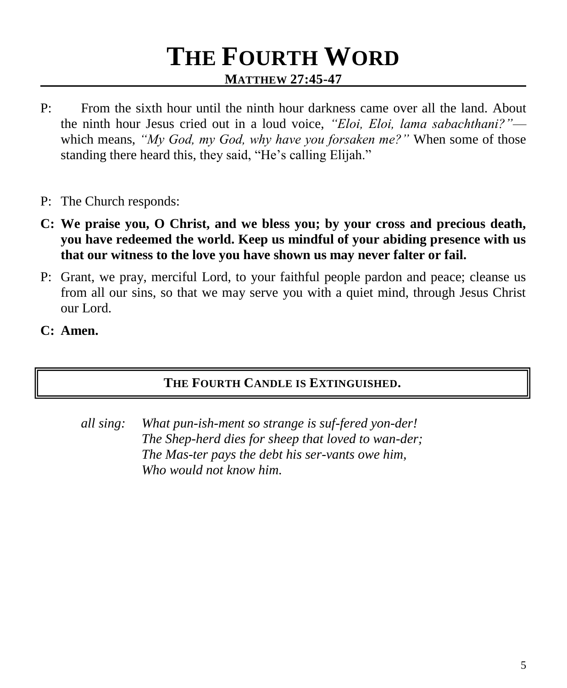### **THE FOURTH WORD MATTHEW 27:45-47**

- P: From the sixth hour until the ninth hour darkness came over all the land. About the ninth hour Jesus cried out in a loud voice, *"Eloi, Eloi, lama sabachthani?"* which means, *"My God, my God, why have you forsaken me?"* When some of those standing there heard this, they said, "He's calling Elijah."
- P: The Church responds:
- **C: We praise you, O Christ, and we bless you; by your cross and precious death, you have redeemed the world. Keep us mindful of your abiding presence with us that our witness to the love you have shown us may never falter or fail.**
- P: Grant, we pray, merciful Lord, to your faithful people pardon and peace; cleanse us from all our sins, so that we may serve you with a quiet mind, through Jesus Christ our Lord.
- **C: Amen.**

### **THE FOURTH CANDLE IS EXTINGUISHED.**

*all sing: What pun-ish-ment so strange is suf-fered yon-der! The Shep-herd dies for sheep that loved to wan-der; The Mas-ter pays the debt his ser-vants owe him, Who would not know him.*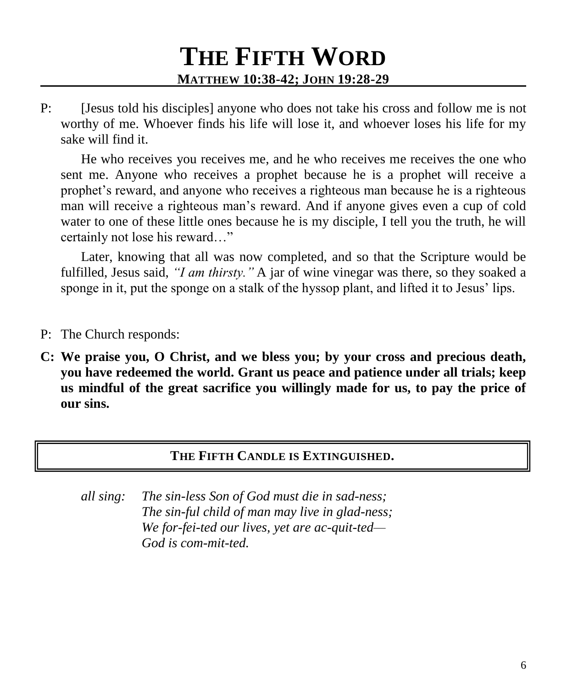# **THE FIFTH WORD MATTHEW 10:38-42; JOHN 19:28-29**

P: [Jesus told his disciples] anyone who does not take his cross and follow me is not worthy of me. Whoever finds his life will lose it, and whoever loses his life for my sake will find it.

He who receives you receives me, and he who receives me receives the one who sent me. Anyone who receives a prophet because he is a prophet will receive a prophet's reward, and anyone who receives a righteous man because he is a righteous man will receive a righteous man's reward. And if anyone gives even a cup of cold water to one of these little ones because he is my disciple, I tell you the truth, he will certainly not lose his reward…"

Later, knowing that all was now completed, and so that the Scripture would be fulfilled, Jesus said, *"I am thirsty."* A jar of wine vinegar was there, so they soaked a sponge in it, put the sponge on a stalk of the hyssop plant, and lifted it to Jesus' lips.

- P: The Church responds:
- **C: We praise you, O Christ, and we bless you; by your cross and precious death, you have redeemed the world. Grant us peace and patience under all trials; keep us mindful of the great sacrifice you willingly made for us, to pay the price of our sins.**

#### **THE FIFTH CANDLE IS EXTINGUISHED.**

*all sing: The sin-less Son of God must die in sad-ness; The sin-ful child of man may live in glad-ness; We for-fei-ted our lives, yet are ac-quit-ted— God is com-mit-ted.*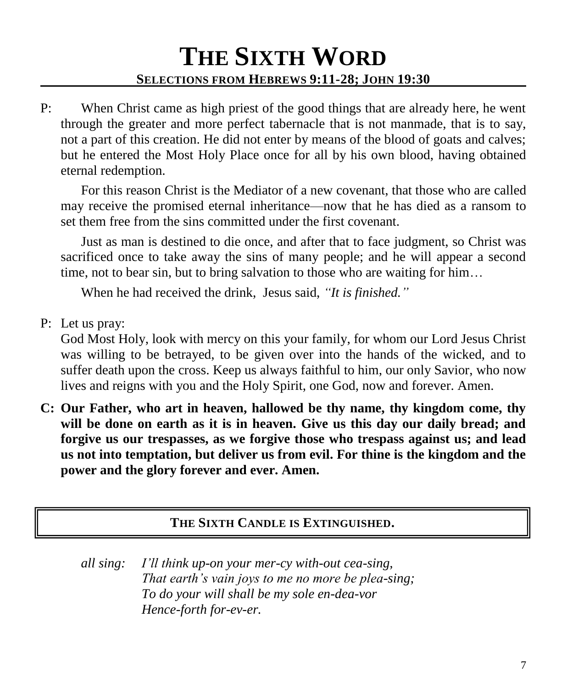## **THE SIXTH WORD SELECTIONS FROM HEBREWS 9:11-28; JOHN 19:30**

P: When Christ came as high priest of the good things that are already here, he went through the greater and more perfect tabernacle that is not manmade, that is to say, not a part of this creation. He did not enter by means of the blood of goats and calves; but he entered the Most Holy Place once for all by his own blood, having obtained eternal redemption.

For this reason Christ is the Mediator of a new covenant, that those who are called may receive the promised eternal inheritance—now that he has died as a ransom to set them free from the sins committed under the first covenant.

Just as man is destined to die once, and after that to face judgment, so Christ was sacrificed once to take away the sins of many people; and he will appear a second time, not to bear sin, but to bring salvation to those who are waiting for him…

When he had received the drink, Jesus said, *"It is finished."*

P: Let us pray:

God Most Holy, look with mercy on this your family, for whom our Lord Jesus Christ was willing to be betrayed, to be given over into the hands of the wicked, and to suffer death upon the cross. Keep us always faithful to him, our only Savior, who now lives and reigns with you and the Holy Spirit, one God, now and forever. Amen.

**C: Our Father, who art in heaven, hallowed be thy name, thy kingdom come, thy will be done on earth as it is in heaven. Give us this day our daily bread; and forgive us our trespasses, as we forgive those who trespass against us; and lead us not into temptation, but deliver us from evil. For thine is the kingdom and the power and the glory forever and ever. Amen.**

### **THE SIXTH CANDLE IS EXTINGUISHED.**

*all sing: I'll think up-on your mer-cy with-out cea-sing, That earth's vain joys to me no more be plea-sing; To do your will shall be my sole en-dea-vor Hence-forth for-ev-er.*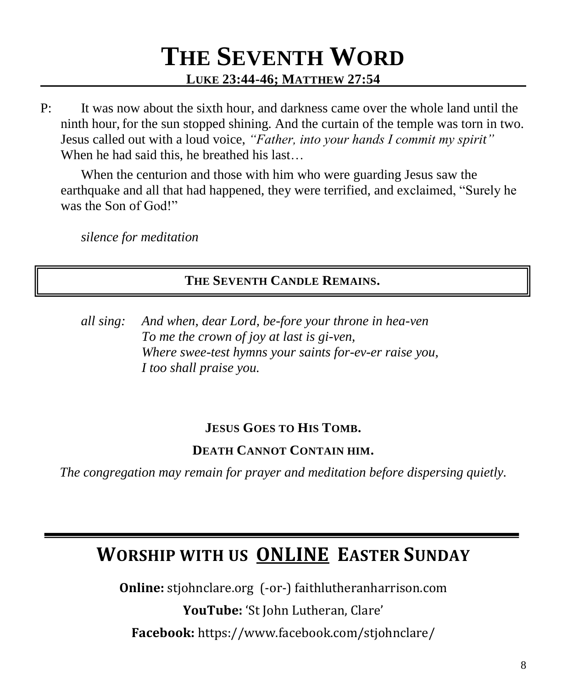### **THE SEVENTH WORD LUKE 23:44-46; MATTHEW 27:54**

P: It was now about the sixth hour, and darkness came over the whole land until the ninth hour, for the sun stopped shining. And the curtain of the temple was torn in two. Jesus called out with a loud voice, *"Father, into your hands I commit my spirit"*  When he had said this, he breathed his last…

When the centurion and those with him who were guarding Jesus saw the earthquake and all that had happened, they were terrified, and exclaimed, "Surely he was the Son of God!"

*silence for meditation*

#### **THE SEVENTH CANDLE REMAINS.**

*all sing: And when, dear Lord, be-fore your throne in hea-ven To me the crown of joy at last is gi-ven, Where swee-test hymns your saints for-ev-er raise you, I too shall praise you.*

### **JESUS GOES TO HIS TOMB.**

### **DEATH CANNOT CONTAIN HIM.**

*The congregation may remain for prayer and meditation before dispersing quietly.*

### **WORSHIP WITH US ONLINE EASTER SUNDAY**

**Online:** stjohnclare.org (-or-) faithlutheranharrison.com

**YouTube:** 'St John Lutheran, Clare' **Facebook:** https://www.facebook.com/stjohnclare/